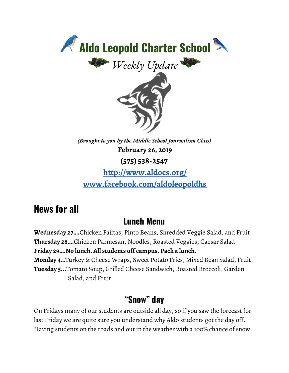

**<http://www.aldocs.org/> [www.facebook.com/aldoleopoldhs](http://www.facebook.com/aldoleopoldhs)**

### **News for all**

### **Lunch Menu**

**Wednesday 27….**Chicken Fajitas, Pinto Beans, Shredded Veggie Salad, and Fruit **Thursday 28….**Chicken Parmesan, Noodles, Roasted Veggies, Caesar Salad **Friday 29….No lunch. All students off campus. Pack a lunch. Monday 4…**Turkey & Cheese Wraps, Sweet Potato Fries, Mixed Bean Salad, Fruit **Tuesday 5...**Tomato Soup, Grilled Cheese Sandwich, Roasted Broccoli, Garden Salad, and Fruit

### **"Snow" day**

On Fridays many of our students are outside all day, so if you saw the forecast for last Friday we are quite sure you understand why Aldo students got the day off. Having students on the roads and out in the weather with a 100% chance of snow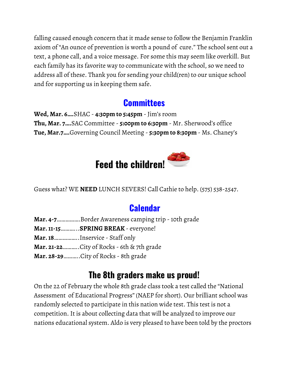falling caused enough concern that it made sense to follow the Benjamin Franklin axiom of "An ounce of prevention is worth a pound of cure." The school sent out a text, a phone call, and a voice message. For some this may seem like overkill. But each family has its favorite way to communicate with the school, so we need to address all of these. Thank you for sending your child(ren) to our unique school and for supporting us in keeping them safe.

### **[Committees](https://www.aldocs.org/committee-overview.html)**

**Wed, Mar. 6….**SHAC - **4:30pm to 5:45pm** - Jim's room **Thu, Mar. 7….**SAC Committee - **5:00pm to 6:30pm** - Mr. Sherwood's office **Tue, Mar.7….**Governing Council Meeting - **5:30pm to 8:30pm** - Ms. Chaney's



Guess what? WE **NEED** LUNCH SEVERS! Call Cathie to help. (575) 538-2547.

### **[Calendar](https://www.aldocs.org/calendar.html)**

- **Mar. 4-7**…………….Border Awareness camping trip 10th grade
- **Mar.11-15**………...**SPRING BREAK** everyone!
- **Mar.18**……………..Inservice Staff only
- **Mar. 21-22**………..City of Rocks 6th & 7th grade
- **Mar. 28-29**………..City of Rocks 8th grade

### **The 8th graders make us proud!**

On the 22 of February the whole 8th grade class took a test called the "National Assessment of Educational Progress" (NAEP for short). Our brilliant school was randomly selected to participate in this nation wide test. This test is not a competition. It is about collecting data that will be analyzed to improve our nations educational system. Aldo is very pleased to have been told by the proctors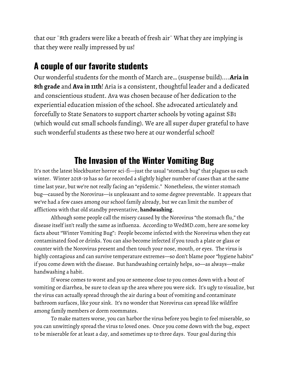that our¨8th graders were like a breath of fresh air¨ What they are implying is that they were really impressed by us!

#### **A couple of our favorite students**

Our wonderful students for the month of March are… (suspense build)....**Aria in 8th grade** and **Ava in 11th**! Aria is a consistent, thoughtful leader and a dedicated and conscientious student. Ava was chosen because of her dedication to the experiential education mission of the school. She advocated articulately and forcefully to State Senators to support charter schools by voting against SB1 (which would cut small schools funding). We are all super duper grateful to have such wonderful students as these two here at our wonderful school!

### **The Invasion of the Winter Vomiting Bug**

It's not the latest blockbuster horror sci-fi—just the usual "stomach bug" that plagues us each winter. Winter 2018-19 has so far recorded a slightly higher number of cases than at the same time last year, but we're not really facing an "epidemic." Nonetheless, the winter stomach bug—caused by the Norovirus—is unpleasant and to some degree preventable. It appears that we've had a few cases among our school family already, but we can limit the number of afflictions with that old standby preventative, **handwashing**.

Although some people call the misery caused by the Norovirus "the stomach flu," the disease itself isn't really the same as influenza. According to WedMD.com, here are some key facts about "Winter Vomiting Bug": People become infected with the Norovirus when they eat contaminated food or drinks. You can also become infected if you touch a plate or glass or counter with the Norovirus present and then touch your nose, mouth, or eyes. The virus is highly contagious and can survive temperature extremes—so don't blame poor "hygiene habits" if you come down with the disease. But handwashing certainly helps, so—as always—make handwashing a habit.

If worse comes to worst and you or someone close to you comes down with a bout of vomiting or diarrhea, be sure to clean up the area where you were sick. It's ugly to visualize, but the virus can actually spread through the air during a bout of vomiting and contaminate bathroom surfaces, like your sink. It's no wonder that Norovirus can spread like wildfire among family members or dorm roommates.

To make matters worse, you can harbor the virus before you begin to feel miserable, so you can unwittingly spread the virus to loved ones. Once you come down with the bug, expect to be miserable for at least a day, and sometimes up to three days. Your goal during this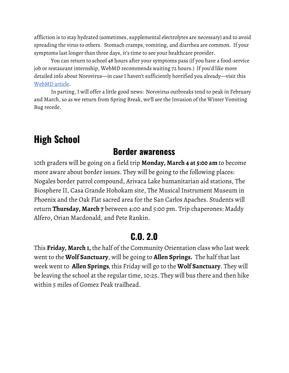affliction is to stay hydrated (sometimes, supplemental electrolytes are necessary) and to avoid spreading the virus to others. Stomach cramps, vomiting, and diarrhea are common. If your symptoms last longer than three days, it's time to see your healthcare provider.

You can return to school 48 hours after your symptoms pass (if you have a food-service job or restaurant internship, WebMD recommends waiting 72 hours.) If you'd like more detailed info about Norovirus—in case I haven't sufficiently horrified you already—visit this [WebMD](http://www.webmd.com/food-recipes/food-poisoning/norovirus-symptoms-and-treatment.) article.

In parting, I will offer a little good news: Norovirus outbreaks tend to peak in February and March, so as we return from Spring Break, we'll see the Invasion of the Winter Vomiting Bug recede.

## **High School**

#### **Border awareness**

10th graders will be going on a field trip **Monday, March 4 at 5:00 am** to become more aware about border issues. They will be going to the following places: Nogales border patrol compound, Arivaca Lake humanitarian aid stations, The Biosphere II, Casa Grande Hohokam site, The Musical Instrument Museum in Phoenix and the Oak Flat sacred area for the San Carlos Apaches. Students will return **Thursday, March 7** between 4:00 and 5:00 pm. Trip chaperones: Maddy Alfero, Orian Macdonald, and Pete Rankin.

### **C.O. 2.0**

This **Friday, March 1,** the half of the Community Orientation class who last week went to the **Wolf Sanctuary**, will be going to **Allen Springs.** The half that last week went to **Allen Springs***,* this Friday will go to the **Wolf Sanctuary**. They will be leaving the school at the regular time, 10:25. They will bus there and then hike within 5 miles of Gomez Peak trailhead.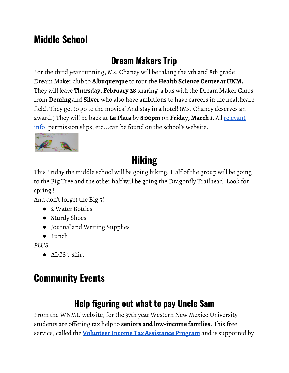## **Middle School**

### **Dream Makers Trip**

For the third year running, Ms. Chaney will be taking the 7th and 8th grade Dream Maker club to **Albuquerque** to tour the **Health Science Center at UNM.** They will leave **Thursday, February 28** sharing a bus with the Dream Maker Clubs from **Deming** and **Silver** who also have ambitions to have careers in the healthcare field. They get to go to the movies! And stay in a hotel! (Ms. Chaney deserves an award.) They will be back at **La Plata** by **8:00pm** on **Friday, March 1.** All [relevant](https://www.aldocs.org/letters-home--permission-slips.html) [info](https://www.aldocs.org/letters-home--permission-slips.html), permission slips, etc...can be found on the school's website.



# **Hiking**

This Friday the middle school will be going hiking! Half of the group will be going to the Big Tree and the other half will be going the Dragonfly Trailhead. Look for spring !

And don't forget the Big 5!

- 2 Water Bottles
- Sturdy Shoes
- Journal and Writing Supplies
- Lunch

*PLUS*

● ALCS t-shirt

# **Community Events**

## **Help figuring out what to pay Uncle Sam**

From the WNMU website, for the 37th year Western New Mexico University students are offering tax help to **seniors and low-income families**. This free service, called the **Volunteer Income Tax [Assistance](https://wnmu.edu/wnmu-volunteer-income-tax-assistance-program-starts-feb-11-2019/) Program** and is supported by